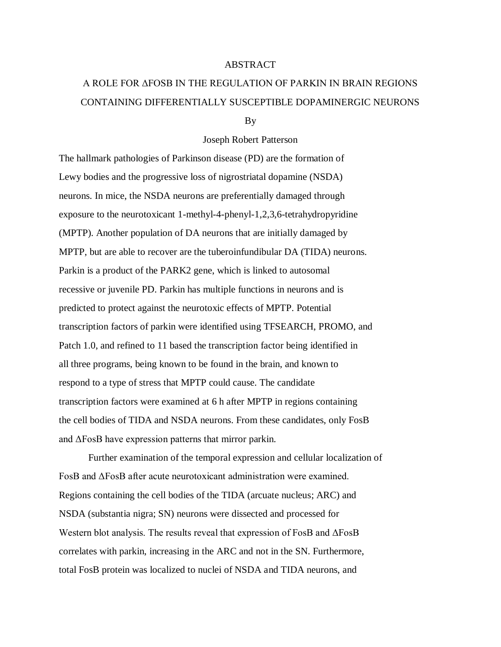## ABSTRACT

## A ROLE FOR ΔFOSB IN THE REGULATION OF PARKIN IN BRAIN REGIONS CONTAINING DIFFERENTIALLY SUSCEPTIBLE DOPAMINERGIC NEURONS

By

## Joseph Robert Patterson

The hallmark pathologies of Parkinson disease (PD) are the formation of Lewy bodies and the progressive loss of nigrostriatal dopamine (NSDA) neurons. In mice, the NSDA neurons are preferentially damaged through exposure to the neurotoxicant 1-methyl-4-phenyl-1,2,3,6-tetrahydropyridine (MPTP). Another population of DA neurons that are initially damaged by MPTP, but are able to recover are the tuberoinfundibular DA (TIDA) neurons. Parkin is a product of the PARK2 gene, which is linked to autosomal recessive or juvenile PD. Parkin has multiple functions in neurons and is predicted to protect against the neurotoxic effects of MPTP. Potential transcription factors of parkin were identified using TFSEARCH, PROMO, and Patch 1.0, and refined to 11 based the transcription factor being identified in all three programs, being known to be found in the brain, and known to respond to a type of stress that MPTP could cause. The candidate transcription factors were examined at 6 h after MPTP in regions containing the cell bodies of TIDA and NSDA neurons. From these candidates, only FosB and ΔFosB have expression patterns that mirror parkin.

Further examination of the temporal expression and cellular localization of FosB and ΔFosB after acute neurotoxicant administration were examined. Regions containing the cell bodies of the TIDA (arcuate nucleus; ARC) and NSDA (substantia nigra; SN) neurons were dissected and processed for Western blot analysis. The results reveal that expression of FosB and ΔFosB correlates with parkin, increasing in the ARC and not in the SN. Furthermore, total FosB protein was localized to nuclei of NSDA and TIDA neurons, and